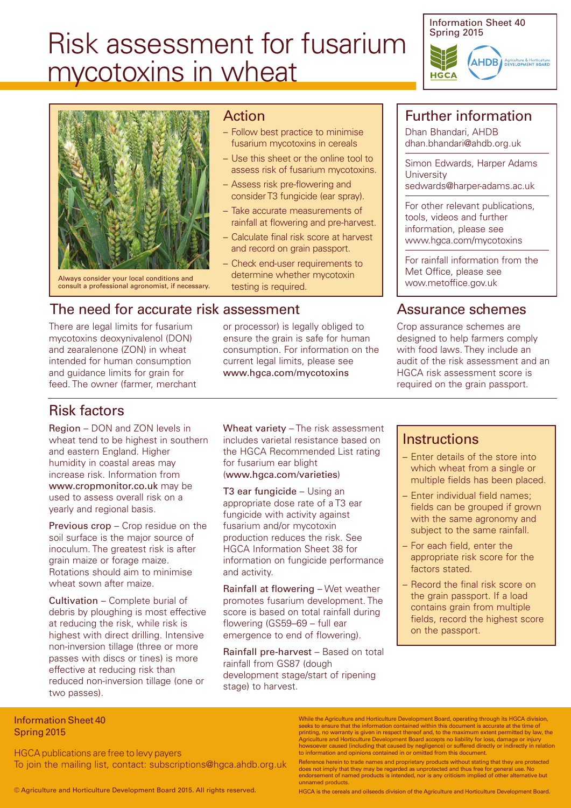# Risk assessment for fusarium mycotoxins in wheat





Always consider your local conditions and consult a professional agronomist, if necessary.

#### Action

- Follow best practice to minimise fusarium mycotoxins in cereals
- Use this sheet or the online tool to assess risk of fusarium mycotoxins.
- Assess risk pre-flowering and consider T3 fungicide (ear spray).
- Take accurate measurements of rainfall at flowering and pre-harvest.
- Calculate final risk score at harvest and record on grain passport.
- Check end-user requirements to determine whether mycotoxin testing is required.

#### The need for accurate risk assessment

There are legal limits for fusarium mycotoxins deoxynivalenol (DON) and zearalenone (ZON) in wheat intended for human consumption and guidance limits for grain for feed. The owner (farmer, merchant or processor) is legally obliged to ensure the grain is safe for human consumption. For information on the current legal limits, please see www.hgca.com/mycotoxins

## Further information

Dhan Bhandari, AHDB dhan.bhandari@ahdb.org.uk

Simon Edwards, Harper Adams **University** sedwards@harper-adams.ac.uk

For other relevant publications, tools, videos and further information, please see www.hgca.com/mycotoxins

For rainfall information from the Met Office, please see <wow.metoffice.gov.uk>

## Assurance schemes

Crop assurance schemes are designed to help farmers comply with food laws. They include an audit of the risk assessment and an HGCA risk assessment score is required on the grain passport.

## Risk factors

Region – DON and ZON levels in wheat tend to be highest in southern and eastern England. Higher humidity in coastal areas may increase risk. Information from www.cropmonitor.co.uk may be used to assess overall risk on a yearly and regional basis.

Previous crop – Crop residue on the soil surface is the major source of inoculum. The greatest risk is after grain maize or forage maize. Rotations should aim to minimise wheat sown after maize.

Cultivation – Complete burial of debris by ploughing is most effective at reducing the risk, while risk is highest with direct drilling. Intensive non-inversion tillage (three or more passes with discs or tines) is more effective at reducing risk than reduced non-inversion tillage (one or two passes).

Wheat variety – The risk assessment includes varietal resistance based on the HGCA Recommended List rating for fusarium ear blight (www.hgca.com/varieties)

T3 ear fungicide – Using an appropriate dose rate of a T3 ear fungicide with activity against fusarium and/or mycotoxin production reduces the risk. See HGCA Information Sheet 38 for information on fungicide performance and activity.

Rainfall at flowering – Wet weather promotes fusarium development. The score is based on total rainfall during flowering (GS59–69 – full ear emergence to end of flowering).

Rainfall pre-harvest – Based on total rainfall from GS87 (dough development stage/start of ripening stage) to harvest.

#### **Instructions**

- Enter details of the store into which wheat from a single or multiple fields has been placed.
- Enter individual field names; fields can be grouped if grown with the same agronomy and subject to the same rainfall.
- For each field, enter the appropriate risk score for the factors stated.
- Record the final risk score on the grain passport. If a load contains grain from multiple fields, record the highest score on the passport.

#### Information Sheet 40 Spring 2015

HGCA publications are free to levy payers To join the mailing list, contact: subscriptions@hgca.ahdb.org.uk

© Agriculture and Horticulture Development Board 2015. All rights reserved.

While the Agriculture and Horticulture Development Board, operating through its HGCA division, seeks to ensure that the information contained within this document is accurate at the time of<br>printing, no warranty is given in respect thereof and, to the maximum extent permitted by law, the<br>Agriculture and Horticulture

Reference herein to trade names and proprietary products without stating that they are protected<br>does not imply that they may be regarded as unprotected and thus free for general use. No<br>endorsement of named products is in unnamed products.

HGCA is the cereals and oilseeds division of the Agriculture and Horticulture Development Board.